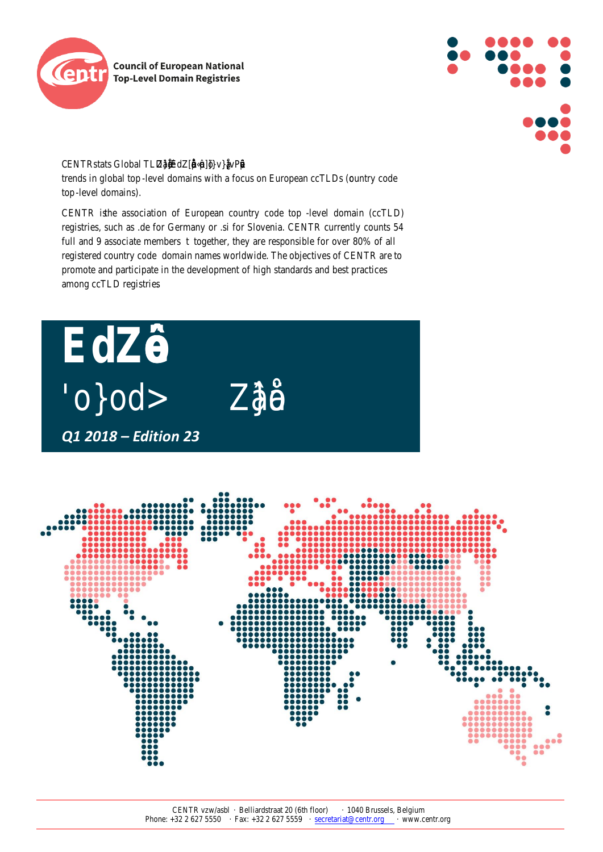



CENTRstats Global TLD trends in global telpvel domains with a focus on European ccTbDs tro code top-level domains).

CENTR isthe association of European country code etep domain (ccTLD) registries, such as .de for Germany or .si for San Such TR currently counts 54 full and 9 associate membertogether, they are responsible for over 80% of all registered country codemain names worldwide. The objectives of CENTR are to promote and participate in the development of high standards and best practices among ccTLD registries .

### *Q1 2018 – Edition 23*

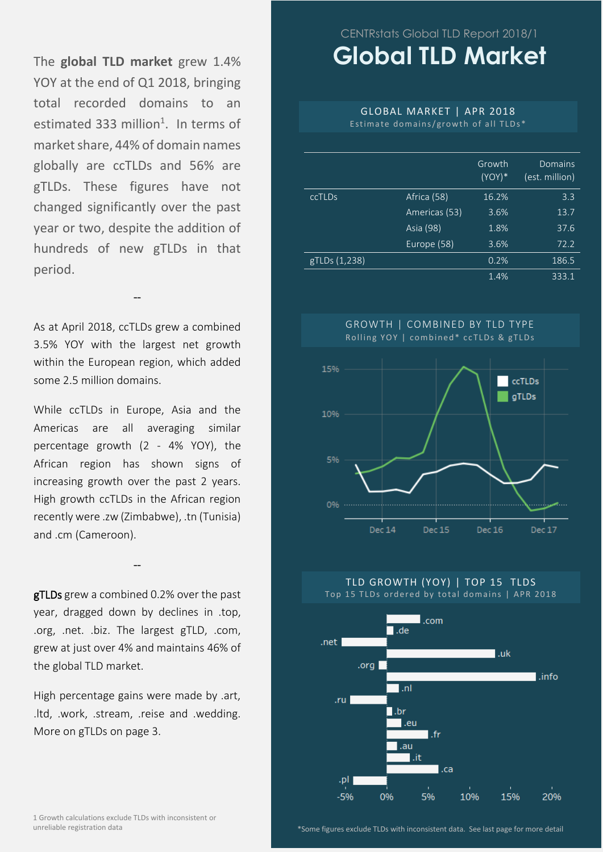The **global TLD market** grew 1.4% YOY at the end of Q1 2018, bringing total recorded domains to an estimated 333 million<sup>1</sup>. In terms of market share, 44% of domain names globally are ccTLDs and 56% are gTLDs. These figures have not changed significantly over the past year or two, despite the addition of hundreds of new gTLDs in that period.

As at April 2018, ccTLDs grew a combined 3.5% YOY with the largest net growth within the European region, which added some 2.5 million domains.

--

While ccTLDs in Europe, Asia and the Americas are all averaging similar percentage growth (2 - 4% YOY), the African region has shown signs of increasing growth over the past 2 years. High growth ccTLDs in the African region recently were .zw (Zimbabwe), .tn (Tunisia) and .cm (Cameroon).

**gTLDs** grew a combined 0.2% over the past year, dragged down by declines in .top, .org, .net. .biz. The largest gTLD, .com, grew at just over 4% and maintains 46% of the global TLD market.

--

High percentage gains were made by .art, .ltd, .work, .stream, .reise and .wedding. More on gTLDs on page 3.

## CENTRstats Global TLD Report 2018/1 **Global TLD Market**

### GLOBAL MARKET | APR 2018

Estimate domains/growth of all  $TLDs*$ 

|               |               | Growth<br>$(YOY)*$ | Domains<br>(est. million) |
|---------------|---------------|--------------------|---------------------------|
| ccTLDs        | Africa (58)   | 16.2%              | 3.3                       |
|               | Americas (53) | 3.6%               | 13.7                      |
|               | Asia (98)     | 1.8%               | 37.6                      |
|               | Europe (58)   | 3.6%               | 72.2                      |
| gTLDs (1,238) |               | 0.2%               | 186.5                     |
|               |               | 1.4%               | 333.1                     |







1 Growth calculations exclude TLDs with inconsistent or unreliable registration data

\*Some figures exclude TLDs with inconsistent data. See last page for more detail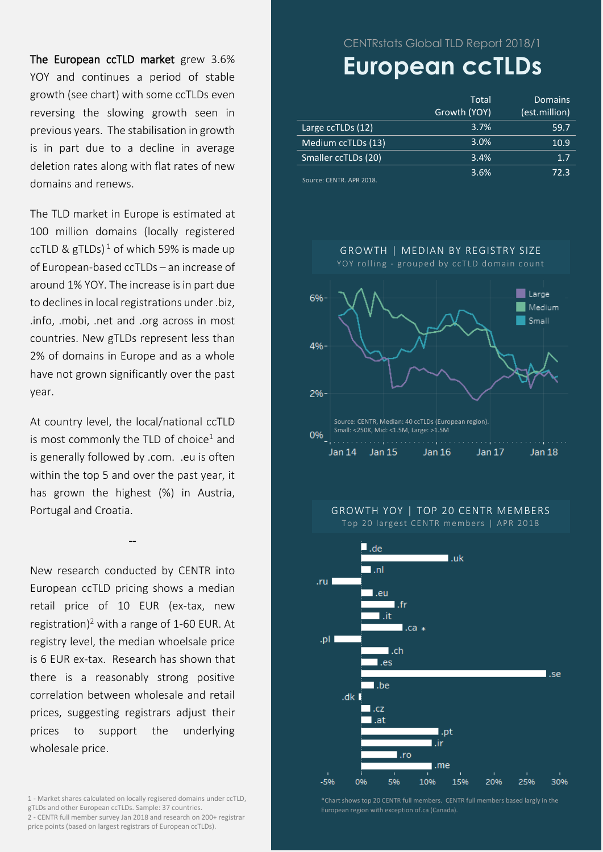The European ccTLD market grew 3.6% YOY and continues a period of stable growth (see chart) with some ccTLDs even reversing the slowing growth seen in previous years. The stabilisation in growth is in part due to a decline in average deletion rates along with flat rates of new domains and renews.

The TLD market in Europe is estimated at 100 million domains (locally registered ccTLD & gTLDs)<sup>1</sup> of which 59% is made up of European-based ccTLDs – an increase of around 1% YOY. The increase is in part due to declines in local registrations under .biz, .info, .mobi, .net and .org across in most countries. New gTLDs represent less than 2% of domains in Europe and as a whole have not grown significantly over the past year.

At country level, the local/national ccTLD is most commonly the TLD of choice<sup>1</sup> and is generally followed by .com. .eu is often within the top 5 and over the past year, it has grown the highest (%) in Austria, Portugal and Croatia.

--

New research conducted by CENTR into European ccTLD pricing shows a median retail price of 10 EUR (ex-tax, new registration) <sup>2</sup> with a range of 1-60 EUR. At registry level, the median whoelsale price is 6 EUR ex-tax. Research has shown that there is a reasonably strong positive correlation between wholesale and retail prices, suggesting registrars adjust their prices to support the underlying wholesale price.

1 - Market shares calculated on locally regisered domains under ccTLD, gTLDs and other European ccTLDs. Sample: 37 countries. 2 - CENTR full member survey Jan 2018 and research on 200+ registrar price points (based on largest registrars of European ccTLDs).

CENTRstats Global TLD Report 2018/1

# **European ccTLDs**

|                              | Total<br>Growth (YOY) | Domains<br>(est.million) |
|------------------------------|-----------------------|--------------------------|
| Large ccTLDs (12)            | 3.7%                  | 59.7                     |
| Medium ccTLDs (13)           | 3.0%                  | 10.9                     |
| Smaller ccTLDs (20)          | 3.4%                  | 1.7                      |
| $Converso: CENTD$ ADD $2010$ | 3.6%                  | 72.3                     |

Source: CENTR. APR 2018.



GROWTH YOY | TOP 20 CENTR MEMBERS

Top 20 largest CENTR members | APR 2018



\*Chart shows top 20 CENTR full members. CENTR full members based largly in the European region with exception of.ca (Canada).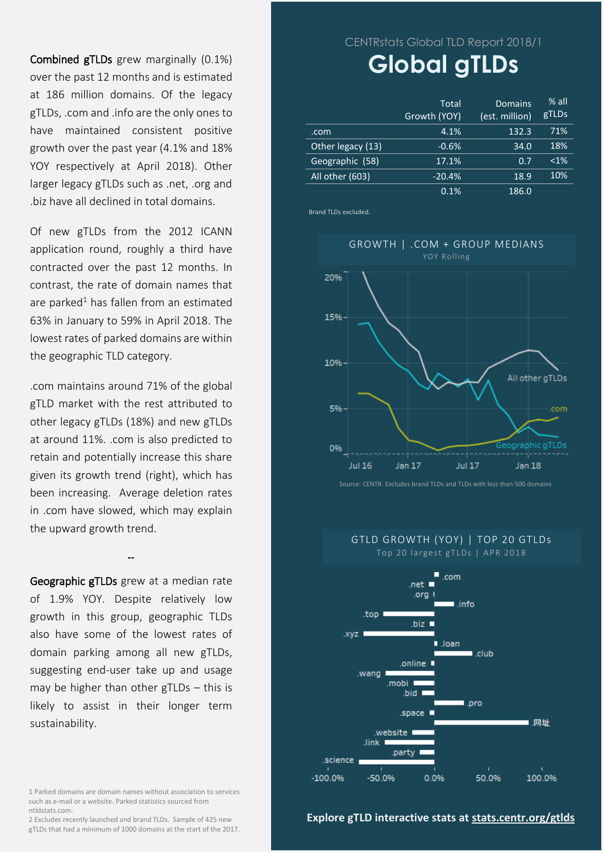Combined gTLDs grew marginally (0.1%) over the past 12 months and is estimated at 186 million domains. Of the legacy gTLDs, .com and .info are the only ones to have maintained consistent positive growth over the past year (4.1% and 18% YOY respectively at April 2018). Other larger legacy gTLDs such as .net, .org and .biz have all declined in total domains.

Of new gTLDs from the 2012 ICANN application round, roughly a third have contracted over the past 12 months. In contrast, the rate of domain names that are parked<sup>1</sup> has fallen from an estimated 63% in January to 59% in April 2018. The lowest rates of parked domains are within the geographic TLD category.

.com maintains around 71% of the global gTLD market with the rest attributed to other legacy gTLDs (18%) and new gTLDs at around 11%. .com is also predicted to retain and potentially increase this share given its growth trend (right), which has been increasing. Average deletion rates in .com have slowed, which may explain the upward growth trend.

Geographic gTLDs grew at a median rate of 1.9% YOY. Despite relatively low growth in this group, geographic TLDs also have some of the lowest rates of domain parking among all new gTLDs, suggesting end-user take up and usage may be higher than other gTLDs – this is likely to assist in their longer term sustainability.

**--**

1 Parked domains are domain names without association to services such as e-mail or a website. Parked statistics sourced from ntldstats.com.

2 Excludes recently launched and brand TLDs. Sample of 425 new gTLDs that had a minimum of 1000 domains at the start of the 2017. CENTRstats Global TLD Report 2018/1

# **Global gTLDs**

|                   | Total<br>Growth (YOY) | Domains<br>(est. million) | $%$ all<br>gTLDs |
|-------------------|-----------------------|---------------------------|------------------|
| .com              | 4.1%                  | 132.3                     | 71%              |
| Other legacy (13) | $-0.6%$               | 34.0                      | 18%              |
| Geographic (58)   | 17.1%                 | 0.7                       | $< 1\%$          |
| All other (603)   | $-20.4%$              | 18.9                      | 10%              |
|                   | 0.1%                  | 186.0                     |                  |

Brand TLDs excluded.



Source: CENTR. Excludes brand TLDs and TLDs with less than 500 domains

GTLD GROWTH (YOY) | TOP 20 GTLDs Top 20 largest gTLDs | APR 2018



#### **Explore gTLD interactive stats at [stats.centr.org/gtlds](https://stats.centr.org/gtlds)**